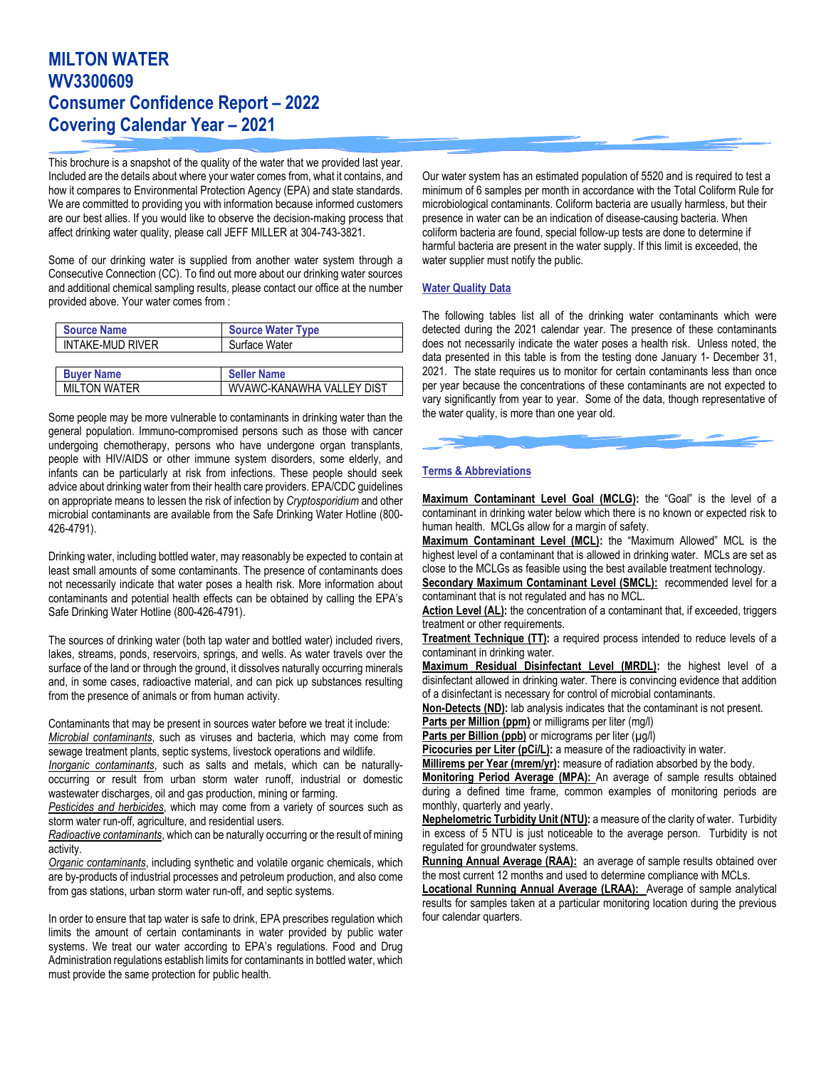# **MILTON WATER WV3300609 Consumer Confidence Report – 2022 Covering Calendar Year – 2021**

This brochure is a snapshot of the quality of the water that we provided last year. Included are the details about where your water comes from, what it contains, and how it compares to Environmental Protection Agency (EPA) and state standards. We are committed to providing you with information because informed customers are our best allies. If you would like to observe the decision-making process that affect drinking water quality, please call JEFF MILLER at 304-743-3821.

Some of our drinking water is supplied from another water system through a Consecutive Connection (CC). To find out more about our drinking water sources and additional chemical sampling results, please contact our office at the number provided above. Your water comes from :

| <b>Source Name</b>  | <b>Source Water Type</b>  |
|---------------------|---------------------------|
| INTAKE-MUD RIVER    | Surface Water             |
|                     |                           |
| <b>Buver Name</b>   | <b>Seller Name</b>        |
| <b>MILTON WATER</b> | WVAWC-KANAWHA VALLEY DIST |

Some people may be more vulnerable to contaminants in drinking water than the general population. Immuno-compromised persons such as those with cancer undergoing chemotherapy, persons who have undergone organ transplants, people with HIV/AIDS or other immune system disorders, some elderly, and infants can be particularly at risk from infections. These people should seek advice about drinking water from their health care providers. EPA/CDC guidelines on appropriate means to lessen the risk of infection by *Cryptosporidium* and other microbial contaminants are available from the Safe Drinking Water Hotline (800- 426-4791).

Drinking water, including bottled water, may reasonably be expected to contain at least small amounts of some contaminants. The presence of contaminants does not necessarily indicate that water poses a health risk. More information about contaminants and potential health effects can be obtained by calling the EPA's Safe Drinking Water Hotline (800-426-4791).

The sources of drinking water (both tap water and bottled water) included rivers, lakes, streams, ponds, reservoirs, springs, and wells. As water travels over the surface of the land or through the ground, it dissolves naturally occurring minerals and, in some cases, radioactive material, and can pick up substances resulting from the presence of animals or from human activity.

Contaminants that may be present in sources water before we treat it include: *Microbial contaminants*, such as viruses and bacteria, which may come from sewage treatment plants, septic systems, livestock operations and wildlife.

*Inorganic contaminants*, such as salts and metals, which can be naturallyoccurring or result from urban storm water runoff, industrial or domestic wastewater discharges, oil and gas production, mining or farming.

*Pesticides and herbicides*, which may come from a variety of sources such as storm water run-off, agriculture, and residential users.

*Radioactive contaminants*, which can be naturally occurring or the result of mining activity.

*Organic contaminants*, including synthetic and volatile organic chemicals, which are by-products of industrial processes and petroleum production, and also come from gas stations, urban storm water run-off, and septic systems.

In order to ensure that tap water is safe to drink, EPA prescribes regulation which limits the amount of certain contaminants in water provided by public water systems. We treat our water according to EPA's regulations. Food and Drug Administration regulations establish limits for contaminants in bottled water, which must provide the same protection for public health.

Our water system has an estimated population of 5520 and is required to test a minimum of 6 samples per month in accordance with the Total Coliform Rule for microbiological contaminants. Coliform bacteria are usually harmless, but their presence in water can be an indication of disease-causing bacteria. When coliform bacteria are found, special follow-up tests are done to determine if harmful bacteria are present in the water supply. If this limit is exceeded, the water supplier must notify the public.

#### **Water Quality Data**

The following tables list all of the drinking water contaminants which were detected during the 2021 calendar year. The presence of these contaminants does not necessarily indicate the water poses a health risk. Unless noted, the data presented in this table is from the testing done January 1- December 31, 2021. The state requires us to monitor for certain contaminants less than once per year because the concentrations of these contaminants are not expected to vary significantly from year to year. Some of the data, though representative of the water quality, is more than one year old.

## **Terms & Abbreviations**

**Maximum Contaminant Level Goal (MCLG):** the "Goal" is the level of a contaminant in drinking water below which there is no known or expected risk to human health. MCLGs allow for a margin of safety.

**Maximum Contaminant Level (MCL):** the "Maximum Allowed" MCL is the highest level of a contaminant that is allowed in drinking water. MCLs are set as close to the MCLGs as feasible using the best available treatment technology.

**Secondary Maximum Contaminant Level (SMCL):** recommended level for a contaminant that is not regulated and has no MCL.

**Action Level (AL):** the concentration of a contaminant that, if exceeded, triggers treatment or other requirements.

**Treatment Technique (TT):** a required process intended to reduce levels of a contaminant in drinking water.

**Maximum Residual Disinfectant Level (MRDL):** the highest level of a disinfectant allowed in drinking water. There is convincing evidence that addition of a disinfectant is necessary for control of microbial contaminants.

**Non-Detects (ND):** lab analysis indicates that the contaminant is not present.

**Parts per Million (ppm)** or milligrams per liter (mg/l)

Parts per Billion (ppb) or micrograms per liter (µg/l)

Picocuries per Liter (pCi/L): a measure of the radioactivity in water.

**Millirems per Year (mrem/yr):** measure of radiation absorbed by the body.

**Monitoring Period Average (MPA):** An average of sample results obtained during a defined time frame, common examples of monitoring periods are monthly, quarterly and yearly.

**Nephelometric Turbidity Unit (NTU):** a measure of the clarity of water. Turbidity in excess of 5 NTU is just noticeable to the average person. Turbidity is not regulated for groundwater systems.

Running Annual Average (RAA): an average of sample results obtained over the most current 12 months and used to determine compliance with MCLs.

**Locational Running Annual Average (LRAA):** Average of sample analytical results for samples taken at a particular monitoring location during the previous four calendar quarters.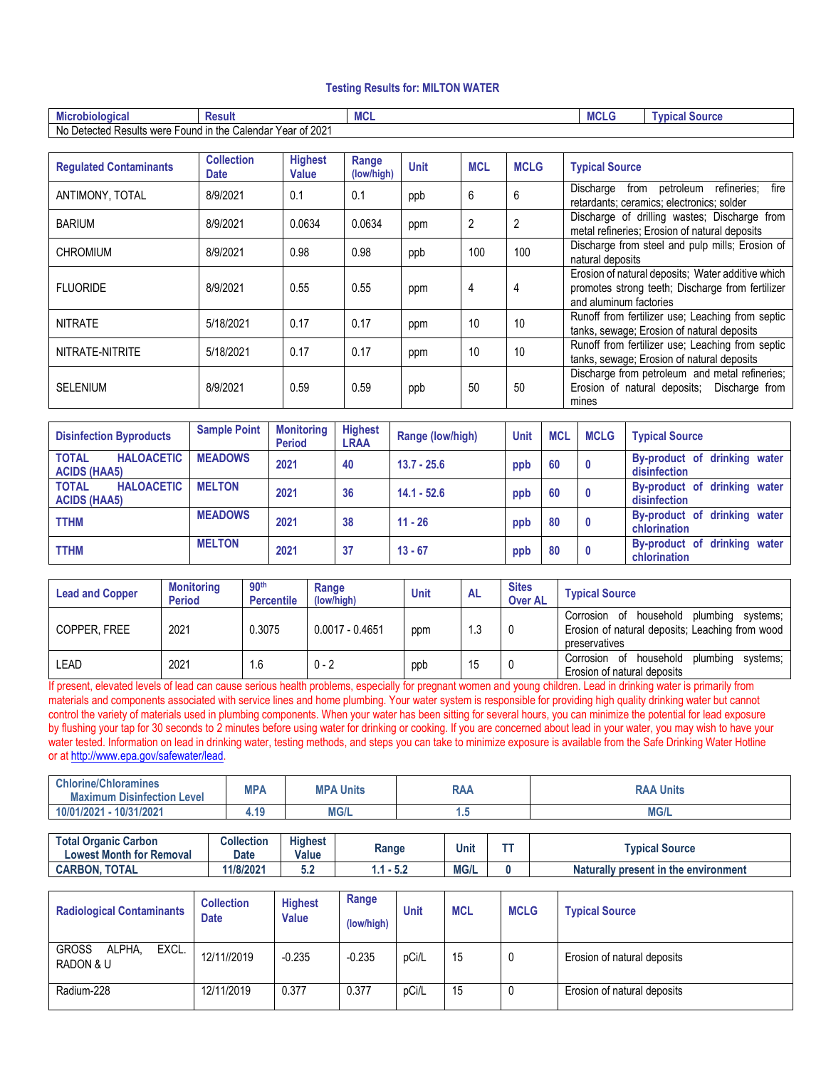#### **Testing Results for: MILTON WATER**

| obiologica<br>MICI                        | Resul                                             | . .<br>- เพ∪⊾ | <b>MCL</b> | ' SOUICE<br>`vnica. |
|-------------------------------------------|---------------------------------------------------|---------------|------------|---------------------|
| -<br>No.<br>⊦Detected Resul<br>"ts were r | ້ 2021<br>$-$ ound in the<br>Calendar<br>Year of: |               |            |                     |

| <b>Requlated Contaminants</b> | <b>Collection</b><br><b>Date</b> | <b>Highest</b><br><b>Value</b> | Range<br>(low/high) | <b>Unit</b> | <b>MCL</b> | <b>MCLG</b> | <b>Typical Source</b>                                                                                                           |  |
|-------------------------------|----------------------------------|--------------------------------|---------------------|-------------|------------|-------------|---------------------------------------------------------------------------------------------------------------------------------|--|
| ANTIMONY, TOTAL               | 8/9/2021                         | 0.1                            | 0.1                 | ppb         | 6          | 6           | from petroleum refineries;<br>Discharge<br>fire<br>retardants; ceramics; electronics; solder                                    |  |
| <b>BARIUM</b>                 | 8/9/2021                         | 0.0634                         | 0.0634              | ppm         | 2          | 2           | Discharge of drilling wastes; Discharge from<br>metal refineries; Erosion of natural deposits                                   |  |
| <b>CHROMIUM</b>               | 8/9/2021                         | 0.98                           | 0.98                | ppb         | 100        | 100         | Discharge from steel and pulp mills; Erosion of<br>natural deposits                                                             |  |
| <b>FLUORIDE</b>               | 8/9/2021                         | 0.55                           | 0.55                | ppm         | 4          | 4           | Erosion of natural deposits; Water additive which<br>promotes strong teeth; Discharge from fertilizer<br>and aluminum factories |  |
| <b>NITRATE</b>                | 5/18/2021                        | 0.17                           | 0.17                | ppm         | 10         | 10          | Runoff from fertilizer use; Leaching from septic<br>tanks, sewage; Erosion of natural deposits                                  |  |
| NITRATE-NITRITE               | 5/18/2021                        | 0.17                           | 0.17                | ppm         | 10         | 10          | Runoff from fertilizer use; Leaching from septic<br>tanks, sewage; Erosion of natural deposits                                  |  |
| <b>SELENIUM</b>               | 8/9/2021                         | 0.59                           | 0.59                | ppb         | 50         | 50          | Discharge from petroleum and metal refineries;<br>Erosion of natural deposits; Discharge from<br>mines                          |  |

| <b>Disinfection Byproducts</b>                           | <b>Sample Point</b> | <b>Monitoring</b><br><b>Period</b> | <b>Highest</b><br><b>LRAA</b> | Range (low/high) | <b>Unit</b> | <b>MCL</b> | <b>MCLG</b>             | <b>Typical Source</b>                        |
|----------------------------------------------------------|---------------------|------------------------------------|-------------------------------|------------------|-------------|------------|-------------------------|----------------------------------------------|
| <b>TOTAL</b><br><b>HALOACETIC</b><br><b>ACIDS (HAA5)</b> | <b>MEADOWS</b>      | 2021                               | 40                            | $13.7 - 25.6$    | ppb         | 60         | $\overline{\mathbf{0}}$ | By-product of drinking water<br>disinfection |
| <b>HALOACETIC</b><br><b>TOTAL</b><br><b>ACIDS (HAA5)</b> | <b>MELTON</b>       | 2021                               | 36                            | $14.1 - 52.6$    | ppb         | 60         | 0                       | By-product of drinking water<br>disinfection |
| <b>TTHM</b>                                              | <b>MEADOWS</b>      | 2021                               | 38                            | $11 - 26$        | ppb         | 80         | 0                       | By-product of drinking water<br>chlorination |
| <b>TTHM</b>                                              | <b>MELTON</b>       | 2021                               | 37                            | $13 - 67$        | ppb         | 80         | $\mathbf{0}$            | By-product of drinking water<br>chlorination |

| <b>Lead and Copper</b> | <b>Monitoring</b><br><b>Period</b> | 90 <sup>th</sup><br><b>Percentile</b> | Range<br>(low/high) | <b>Unit</b> | <b>AL</b> | <b>Sites</b><br><b>Over AL</b> | <b>Typical Source</b>                                                                                           |
|------------------------|------------------------------------|---------------------------------------|---------------------|-------------|-----------|--------------------------------|-----------------------------------------------------------------------------------------------------------------|
| COPPER, FREE           | 2021                               | 0.3075                                | $0.0017 - 0.4651$   | ppm         | 1.3       |                                | Corrosion of household plumbing<br>svstems:<br>Erosion of natural deposits; Leaching from wood<br>preservatives |
| LEAD                   | 2021                               | . 6                                   | $0 - 2$             | ppb         | 15        |                                | Corrosion of household<br>plumbina<br>svstems:<br>Erosion of natural deposits                                   |

If present, elevated levels of lead can cause serious health problems, especially for pregnant women and young children. Lead in drinking water is primarily from materials and components associated with service lines and home plumbing. Your water system is responsible for providing high quality drinking water but cannot control the variety of materials used in plumbing components. When your water has been sitting for several hours, you can minimize the potential for lead exposure by flushing your tap for 30 seconds to 2 minutes before using water for drinking or cooking. If you are concerned about lead in your water, you may wish to have your water tested. Information on lead in drinking water, testing methods, and steps you can take to minimize exposure is available from the Safe Drinking Water Hotline or at [http://www.epa.gov/safewater/lead.](http://www.epa.gov/safewater/lead) 

| <b>Chlorine/Chloramines</b><br><b>Maximum Disinfection Level</b> | <b>MPA</b> | 'A Units<br><b>MPA</b> | <b>RAA</b> | <b>RAA Units</b> |
|------------------------------------------------------------------|------------|------------------------|------------|------------------|
| $-10/31/2021$<br>10/01/2021                                      | 4.19       | <b>MG/L</b>            | ٠.,        | <b>MG/L</b>      |

| <b>Total Organic Carbon</b><br><b>Lowest Month for Removal</b> | Collection<br>Date | <b>Highest</b><br><b>Value</b> | Range | Unit        | <b>Contract</b> | <b>T</b> vpical Source               |
|----------------------------------------------------------------|--------------------|--------------------------------|-------|-------------|-----------------|--------------------------------------|
| <b>CARBON, TOTAL</b>                                           | 1/8/2021           | v.z                            | -9.4  | <b>MG/L</b> |                 | Naturally present in the environment |

| <b>Radiological Contaminants</b>             | <b>Collection</b><br><b>Date</b> | <b>Highest</b><br><b>Value</b> | Range<br>(low/high) | Unit  | <b>MCL</b> | <b>MCLG</b> | <b>Typical Source</b>       |
|----------------------------------------------|----------------------------------|--------------------------------|---------------------|-------|------------|-------------|-----------------------------|
| <b>GROSS</b><br>EXCL.<br>ALPHA.<br>RADON & U | 12/11//2019                      | $-0.235$                       | $-0.235$            | pCi/L | 15         | 0           | Erosion of natural deposits |
| Radium-228                                   | 12/11/2019                       | 0.377                          | 0.377               | pCi/L | 15         | 0           | Erosion of natural deposits |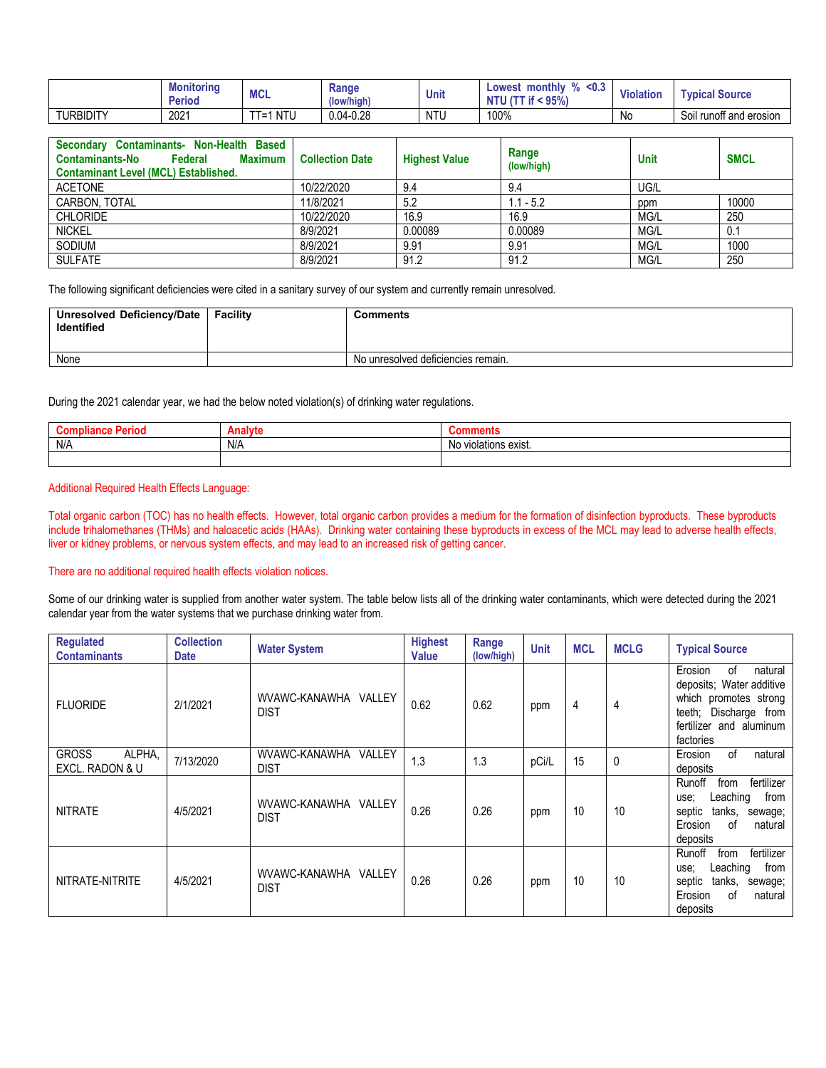|                  | Monitoring<br><b>Periou</b> | <b>BACI</b><br>MUL     | Range<br>(low/high)   | Unit | n/<br>monthly<br>∟owe <sup>•</sup><br>west<br><br>95% | .<br>Violation | <b>Typical Source</b>            |
|------------------|-----------------------------|------------------------|-----------------------|------|-------------------------------------------------------|----------------|----------------------------------|
| <b>TURBIDITY</b> | 2021                        | ---<br>. .<br>NIU<br>- | $-0.28$<br>$0.04 - r$ | NTU  | 100%                                                  | N0             | <br>Soil<br>I runoff and erosion |

| <b>Based</b><br>Secondary Contaminants- Non-Health<br><b>Contaminants-No</b><br>Federal<br><b>Maximum</b><br><b>Contaminant Level (MCL) Established.</b> | <b>Collection Date</b> | <b>Highest Value</b> | Range<br>(low/high) | <b>Unit</b> | <b>SMCL</b> |
|----------------------------------------------------------------------------------------------------------------------------------------------------------|------------------------|----------------------|---------------------|-------------|-------------|
| <b>ACETONE</b>                                                                                                                                           | 10/22/2020             | 9.4                  | 9.4                 | UG/L        |             |
| CARBON, TOTAL                                                                                                                                            | 11/8/2021              | 5.2                  | $1.1 - 5.2$         | ppm         | 10000       |
| <b>CHLORIDE</b>                                                                                                                                          | 10/22/2020             | 16.9                 | 16.9                | MG/L        | 250         |
| <b>NICKEL</b>                                                                                                                                            | 8/9/2021               | 0.00089              | 0.00089             | MG/L        | 0.1         |
| SODIUM                                                                                                                                                   | 8/9/2021               | 9.91                 | 9.91                | MG/L        | 1000        |
| <b>SULFATE</b>                                                                                                                                           | 8/9/2021               | 91.2                 | 91.2                | MG/L        | 250         |

The following significant deficiencies were cited in a sanitary survey of our system and currently remain unresolved.

| Unresolved Deficiency/Date<br>Identified | Facility | Comments                           |
|------------------------------------------|----------|------------------------------------|
| None                                     |          | No unresolved deficiencies remain. |

During the 2021 calendar year, we had the below noted violation(s) of drinking water regulations.

|     | - 11 |                                            |
|-----|------|--------------------------------------------|
| N/A | N/A  | N0<br>plations<br>$\Delta V10$<br>ט באוסו. |
|     |      |                                            |

## Additional Required Health Effects Language:

Total organic carbon (TOC) has no health effects. However, total organic carbon provides a medium for the formation of disinfection byproducts. These byproducts include trihalomethanes (THMs) and haloacetic acids (HAAs). Drinking water containing these byproducts in excess of the MCL may lead to adverse health effects, liver or kidney problems, or nervous system effects, and may lead to an increased risk of getting cancer.

## There are no additional required health effects violation notices.

Some of our drinking water is supplied from another water system. The table below lists all of the drinking water contaminants, which were detected during the 2021 calendar year from the water systems that we purchase drinking water from.

| <b>Regulated</b><br><b>Contaminants</b>   | <b>Collection</b><br><b>Date</b> | <b>Water System</b>                    | <b>Highest</b><br><b>Value</b> | Range<br>(low/high) | <b>Unit</b> | <b>MCL</b> | <b>MCLG</b> | <b>Typical Source</b>                                                                                                                          |
|-------------------------------------------|----------------------------------|----------------------------------------|--------------------------------|---------------------|-------------|------------|-------------|------------------------------------------------------------------------------------------------------------------------------------------------|
| <b>FLUORIDE</b>                           | 2/1/2021                         | WVAWC-KANAWHA VALLEY<br><b>DIST</b>    | 0.62                           | 0.62                | ppm         | 4          | 4           | of<br>Erosion<br>natural<br>deposits; Water additive<br>which promotes strong<br>teeth; Discharge from<br>fertilizer and aluminum<br>factories |
| <b>GROSS</b><br>ALPHA,<br>EXCL. RADON & U | 7/13/2020                        | WVAWC-KANAWHA<br>VALLEY<br><b>DIST</b> | 1.3                            | 1.3                 | pCi/L       | 15         | 0           | of<br>natural<br>Erosion<br>deposits                                                                                                           |
| <b>NITRATE</b>                            | 4/5/2021                         | WVAWC-KANAWHA VALLEY<br><b>DIST</b>    | 0.26                           | 0.26                | ppm         | 10         | 10          | Runoff<br>fertilizer<br>from<br>Leaching<br>from<br>use:<br>septic<br>tanks,<br>sewage;<br>of<br>Erosion<br>natural<br>deposits                |
| NITRATE-NITRITE                           | 4/5/2021                         | WVAWC-KANAWHA VALLEY<br><b>DIST</b>    | 0.26                           | 0.26                | ppm         | 10         | 10          | fertilizer<br>Runoff<br>from<br>Leaching<br>from<br>use:<br>septic<br>tanks,<br>sewage;<br>Erosion<br>of<br>natural<br>deposits                |